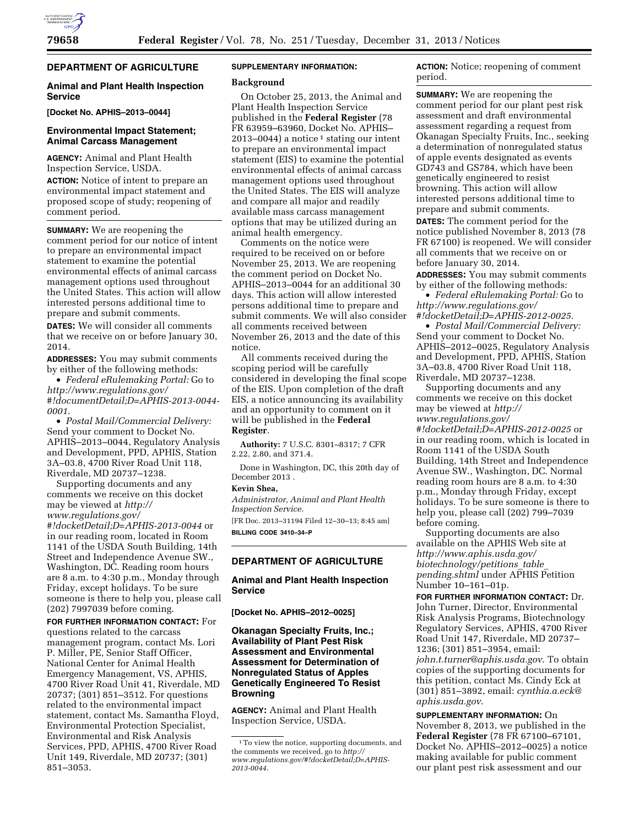# **DEPARTMENT OF AGRICULTURE**

## **Animal and Plant Health Inspection Service**

**[Docket No. APHIS–2013–0044]** 

# **Environmental Impact Statement; Animal Carcass Management**

**AGENCY:** Animal and Plant Health Inspection Service, USDA.

**ACTION:** Notice of intent to prepare an environmental impact statement and proposed scope of study; reopening of comment period.

**SUMMARY:** We are reopening the comment period for our notice of intent to prepare an environmental impact statement to examine the potential environmental effects of animal carcass management options used throughout the United States. This action will allow interested persons additional time to prepare and submit comments.

**DATES:** We will consider all comments that we receive on or before January 30, 2014.

**ADDRESSES:** You may submit comments by either of the following methods:

• *Federal eRulemaking Portal:* Go to *[http://www.regulations.gov/](http://www.regulations.gov/#!documentDetail;D=APHIS-2013-0044-0001) [#!documentDetail;D=APHIS-2013-0044-](http://www.regulations.gov/#!documentDetail;D=APHIS-2013-0044-0001) [0001](http://www.regulations.gov/#!documentDetail;D=APHIS-2013-0044-0001)*.

• *Postal Mail/Commercial Delivery:*  Send your comment to Docket No. APHIS–2013–0044, Regulatory Analysis and Development, PPD, APHIS, Station 3A–03.8, 4700 River Road Unit 118, Riverdale, MD 20737–1238.

Supporting documents and any comments we receive on this docket may be viewed at *[http://](http://www.regulations.gov/#!docketDetail;D=APHIS-2013-0044) [www.regulations.gov/](http://www.regulations.gov/#!docketDetail;D=APHIS-2013-0044) [#!docketDetail;D=APHIS-2013-0044](http://www.regulations.gov/#!docketDetail;D=APHIS-2013-0044)* or in our reading room, located in Room 1141 of the USDA South Building, 14th Street and Independence Avenue SW., Washington, DC. Reading room hours are 8 a.m. to 4:30 p.m., Monday through Friday, except holidays. To be sure someone is there to help you, please call (202) 7997039 before coming.

**FOR FURTHER INFORMATION CONTACT:** For

questions related to the carcass management program, contact Ms. Lori P. Miller, PE, Senior Staff Officer, National Center for Animal Health Emergency Management, VS, APHIS, 4700 River Road Unit 41, Riverdale, MD 20737; (301) 851–3512. For questions related to the environmental impact statement, contact Ms. Samantha Floyd, Environmental Protection Specialist, Environmental and Risk Analysis Services, PPD, APHIS, 4700 River Road Unit 149, Riverdale, MD 20737; (301) 851–3053.

## **SUPPLEMENTARY INFORMATION:**

### **Background**

On October 25, 2013, the Animal and Plant Health Inspection Service published in the **Federal Register** (78 FR 63959–63960, Docket No. APHIS– 2013–0044) a notice<sup>1</sup> stating our intent to prepare an environmental impact statement (EIS) to examine the potential environmental effects of animal carcass management options used throughout the United States. The EIS will analyze and compare all major and readily available mass carcass management options that may be utilized during an animal health emergency.

Comments on the notice were required to be received on or before November 25, 2013. We are reopening the comment period on Docket No. APHIS–2013–0044 for an additional 30 days. This action will allow interested persons additional time to prepare and submit comments. We will also consider all comments received between November 26, 2013 and the date of this notice.

All comments received during the scoping period will be carefully considered in developing the final scope of the EIS. Upon completion of the draft EIS, a notice announcing its availability and an opportunity to comment on it will be published in the **Federal Register**.

**Authority:** 7 U.S.C. 8301–8317; 7 CFR 2.22, 2.80, and 371.4.

Done in Washington, DC, this 20th day of December 2013 .

# **Kevin Shea,**

*Administrator, Animal and Plant Health Inspection Service.* 

[FR Doc. 2013–31194 Filed 12–30–13; 8:45 am] **BILLING CODE 3410–34–P** 

## **DEPARTMENT OF AGRICULTURE**

## **Animal and Plant Health Inspection Service**

**[Docket No. APHIS–2012–0025]** 

## **Okanagan Specialty Fruits, Inc.; Availability of Plant Pest Risk Assessment and Environmental Assessment for Determination of Nonregulated Status of Apples Genetically Engineered To Resist Browning**

**AGENCY:** Animal and Plant Health Inspection Service, USDA.

**ACTION:** Notice; reopening of comment period.

**SUMMARY:** We are reopening the comment period for our plant pest risk assessment and draft environmental assessment regarding a request from Okanagan Specialty Fruits, Inc., seeking a determination of nonregulated status of apple events designated as events GD743 and GS784, which have been genetically engineered to resist browning. This action will allow interested persons additional time to prepare and submit comments. **DATES:** The comment period for the notice published November 8, 2013 (78 FR 67100) is reopened. We will consider all comments that we receive on or before January 30, 2014.

**ADDRESSES:** You may submit comments by either of the following methods:

• *Federal eRulemaking Portal:* Go to *[http://www.regulations.gov/](http://www.regulations.gov/#!docketDetail;D=APHIS-2012-0025) [#!docketDetail;D=APHIS-2012-0025](http://www.regulations.gov/#!docketDetail;D=APHIS-2012-0025)*.

• *Postal Mail/Commercial Delivery:*  Send your comment to Docket No. APHIS–2012–0025, Regulatory Analysis and Development, PPD, APHIS, Station 3A–03.8, 4700 River Road Unit 118, Riverdale, MD 20737–1238.

Supporting documents and any comments we receive on this docket may be viewed at *[http://](http://www.regulations.gov/#!docketDetail;D=APHIS-2012-0025) [www.regulations.gov/](http://www.regulations.gov/#!docketDetail;D=APHIS-2012-0025) [#!docketDetail;D=APHIS-2012-0025](http://www.regulations.gov/#!docketDetail;D=APHIS-2012-0025)* or in our reading room, which is located in Room 1141 of the USDA South Building, 14th Street and Independence Avenue SW., Washington, DC. Normal reading room hours are 8 a.m. to 4:30 p.m., Monday through Friday, except holidays. To be sure someone is there to help you, please call (202) 799–7039 before coming.

Supporting documents are also available on the APHIS Web site at *[http://www.aphis.usda.gov/](http://www.aphis.usda.gov/biotechnology/petitions_table_pending.shtml) [biotechnology/petitions](http://www.aphis.usda.gov/biotechnology/petitions_table_pending.shtml)*\_*table*\_ *[pending.shtml](http://www.aphis.usda.gov/biotechnology/petitions_table_pending.shtml)* under APHIS Petition Number 10–161–01p.

**FOR FURTHER INFORMATION CONTACT:** Dr. John Turner, Director, Environmental Risk Analysis Programs, Biotechnology Regulatory Services, APHIS, 4700 River Road Unit 147, Riverdale, MD 20737– 1236; (301) 851–3954, email: *[john.t.turner@aphis.usda.gov](mailto:john.t.turner@aphis.usda.gov)*. To obtain copies of the supporting documents for this petition, contact Ms. Cindy Eck at (301) 851–3892, email: *[cynthia.a.eck@](mailto:cynthia.a.eck@aphis.usda.gov) [aphis.usda.gov](mailto:cynthia.a.eck@aphis.usda.gov)*.

**SUPPLEMENTARY INFORMATION:** On November 8, 2013, we published in the **Federal Register** (78 FR 67100–67101, Docket No. APHIS–2012–0025) a notice making available for public comment our plant pest risk assessment and our

<sup>1</sup>To view the notice, supporting documents, and the comments we received, go to *[http://](http://www.regulations.gov/#!docketDetail;D=APHIS-2013-0044) [www.regulations.gov/#!docketDetail;D=APHIS-](http://www.regulations.gov/#!docketDetail;D=APHIS-2013-0044)[2013-0044](http://www.regulations.gov/#!docketDetail;D=APHIS-2013-0044)*.